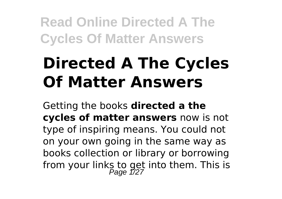# **Directed A The Cycles Of Matter Answers**

Getting the books **directed a the cycles of matter answers** now is not type of inspiring means. You could not on your own going in the same way as books collection or library or borrowing from your links to get into them. This is<br>Page 1/27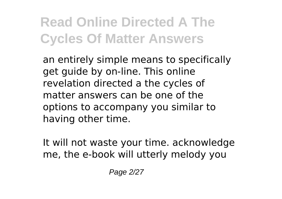an entirely simple means to specifically get guide by on-line. This online revelation directed a the cycles of matter answers can be one of the options to accompany you similar to having other time.

It will not waste your time. acknowledge me, the e-book will utterly melody you

Page 2/27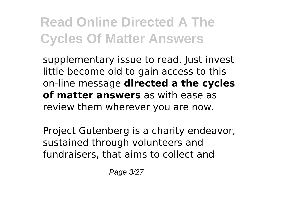supplementary issue to read. Just invest little become old to gain access to this on-line message **directed a the cycles of matter answers** as with ease as review them wherever you are now.

Project Gutenberg is a charity endeavor, sustained through volunteers and fundraisers, that aims to collect and

Page 3/27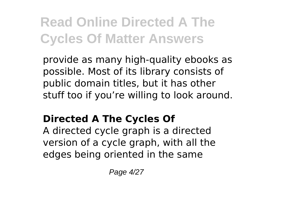provide as many high-quality ebooks as possible. Most of its library consists of public domain titles, but it has other stuff too if you're willing to look around.

#### **Directed A The Cycles Of**

A directed cycle graph is a directed version of a cycle graph, with all the edges being oriented in the same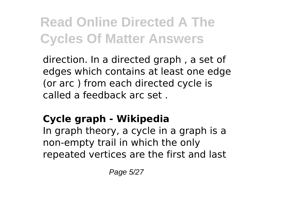direction. In a directed graph , a set of edges which contains at least one edge (or arc ) from each directed cycle is called a feedback arc set .

#### **Cycle graph - Wikipedia**

In graph theory, a cycle in a graph is a non-empty trail in which the only repeated vertices are the first and last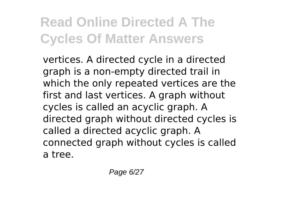vertices. A directed cycle in a directed graph is a non-empty directed trail in which the only repeated vertices are the first and last vertices. A graph without cycles is called an acyclic graph. A directed graph without directed cycles is called a directed acyclic graph. A connected graph without cycles is called a tree.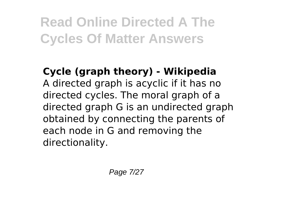#### **Cycle (graph theory) - Wikipedia** A directed graph is acyclic if it has no directed cycles. The moral graph of a directed graph G is an undirected graph obtained by connecting the parents of each node in G and removing the directionality.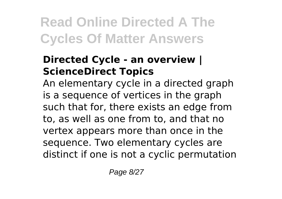#### **Directed Cycle - an overview | ScienceDirect Topics**

An elementary cycle in a directed graph is a sequence of vertices in the graph such that for, there exists an edge from to, as well as one from to, and that no vertex appears more than once in the sequence. Two elementary cycles are distinct if one is not a cyclic permutation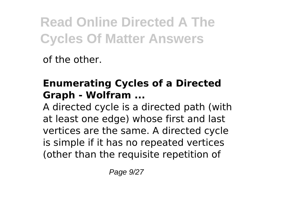of the other.

#### **Enumerating Cycles of a Directed Graph - Wolfram ...**

A directed cycle is a directed path (with at least one edge) whose first and last vertices are the same. A directed cycle is simple if it has no repeated vertices (other than the requisite repetition of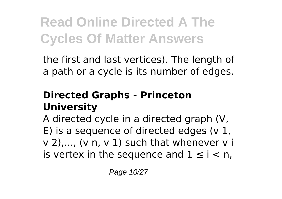the first and last vertices). The length of a path or a cycle is its number of edges.

#### **Directed Graphs - Princeton University**

A directed cycle in a directed graph (V, E) is a sequence of directed edges ( $v$  1, v 2),..., (v n, v 1) such that whenever v i is vertex in the sequence and  $1 \le i \le n$ ,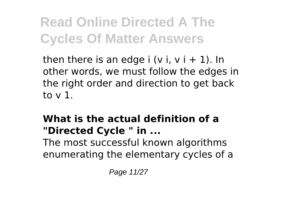then there is an edge  $i$  (v i, v  $i + 1$ ). In other words, we must follow the edges in the right order and direction to get back to v 1.

#### **What is the actual definition of a "Directed Cycle " in ...**

The most successful known algorithms enumerating the elementary cycles of a

Page 11/27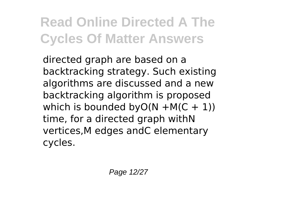directed graph are based on a backtracking strategy. Such existing algorithms are discussed and a new backtracking algorithm is proposed which is bounded by  $O(N + M(C + 1))$ time, for a directed graph withN vertices,M edges andC elementary cycles.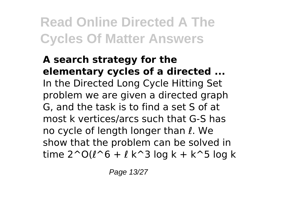**A search strategy for the elementary cycles of a directed ...** In the Directed Long Cycle Hitting Set problem we are given a directed graph G, and the task is to find a set S of at most k vertices/arcs such that G-S has no cycle of length longer than ℓ. We show that the problem can be solved in time  $2^0(1^6 + 1^2 - 1)$  log k + k<sup>o</sup>5 log k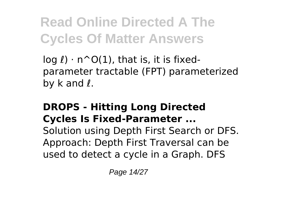$log l$ )  $\cdot$  n^O(1), that is, it is fixedparameter tractable (FPT) parameterized by k and  $\ell$ .

#### **DROPS - Hitting Long Directed Cycles Is Fixed-Parameter ...**

Solution using Depth First Search or DFS. Approach: Depth First Traversal can be used to detect a cycle in a Graph. DFS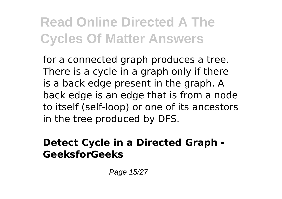for a connected graph produces a tree. There is a cycle in a graph only if there is a back edge present in the graph. A back edge is an edge that is from a node to itself (self-loop) or one of its ancestors in the tree produced by DFS.

#### **Detect Cycle in a Directed Graph - GeeksforGeeks**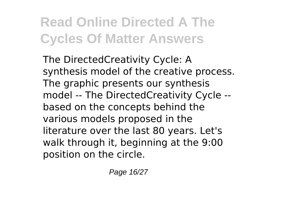The DirectedCreativity Cycle: A synthesis model of the creative process. The graphic presents our synthesis model -- The DirectedCreativity Cycle - based on the concepts behind the various models proposed in the literature over the last 80 years. Let's walk through it, beginning at the 9:00 position on the circle.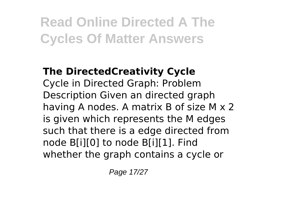#### **The DirectedCreativity Cycle** Cycle in Directed Graph: Problem Description Given an directed graph having A nodes. A matrix B of size M x 2 is given which represents the M edges such that there is a edge directed from node B[i][0] to node B[i][1]. Find whether the graph contains a cycle or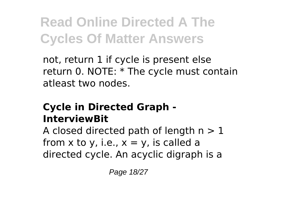not, return 1 if cycle is present else return 0. NOTE: \* The cycle must contain atleast two nodes.

#### **Cycle in Directed Graph - InterviewBit**

A closed directed path of length  $n > 1$ from x to y, i.e.,  $x = y$ , is called a directed cycle. An acyclic digraph is a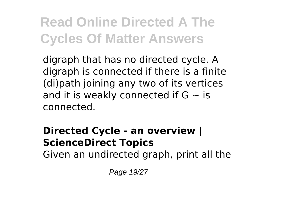digraph that has no directed cycle. A digraph is connected if there is a finite (di)path joining any two of its vertices and it is weakly connected if  $G \sim$  is connected.

#### **Directed Cycle - an overview | ScienceDirect Topics**

Given an undirected graph, print all the

Page 19/27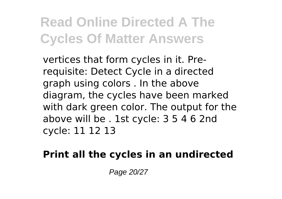vertices that form cycles in it. Prerequisite: Detect Cycle in a directed graph using colors . In the above diagram, the cycles have been marked with dark green color. The output for the above will be . 1st cycle: 3 5 4 6 2nd cycle: 11 12 13

**Print all the cycles in an undirected**

Page 20/27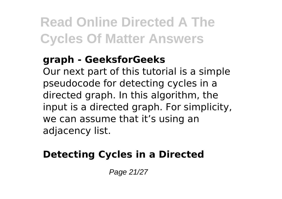#### **graph - GeeksforGeeks**

Our next part of this tutorial is a simple pseudocode for detecting cycles in a directed graph. In this algorithm, the input is a directed graph. For simplicity, we can assume that it's using an adjacency list.

#### **Detecting Cycles in a Directed**

Page 21/27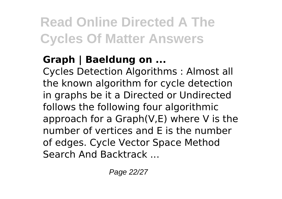#### **Graph | Baeldung on ...**

Cycles Detection Algorithms : Almost all the known algorithm for cycle detection in graphs be it a Directed or Undirected follows the following four algorithmic approach for a Graph(V,E) where V is the number of vertices and E is the number of edges. Cycle Vector Space Method Search And Backtrack ...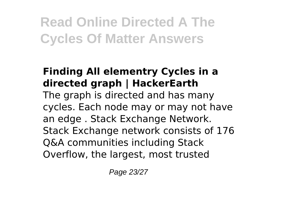#### **Finding All elementry Cycles in a directed graph | HackerEarth** The graph is directed and has many cycles. Each node may or may not have an edge . Stack Exchange Network. Stack Exchange network consists of 176 Q&A communities including Stack Overflow, the largest, most trusted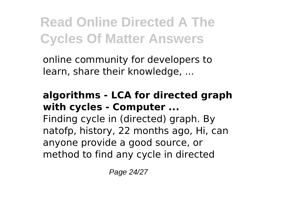online community for developers to learn, share their knowledge, ...

#### **algorithms - LCA for directed graph with cycles - Computer ...**

Finding cycle in (directed) graph. By natofp, history, 22 months ago, Hi, can anyone provide a good source, or method to find any cycle in directed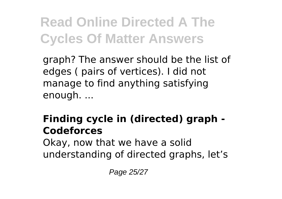graph? The answer should be the list of edges ( pairs of vertices). I did not manage to find anything satisfying enough. ...

#### **Finding cycle in (directed) graph - Codeforces**

Okay, now that we have a solid understanding of directed graphs, let's

Page 25/27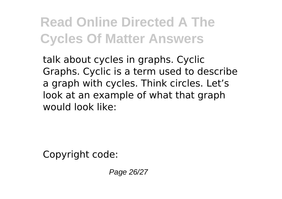talk about cycles in graphs. Cyclic Graphs. Cyclic is a term used to describe a graph with cycles. Think circles. Let's look at an example of what that graph would look like:

Copyright code:

Page 26/27